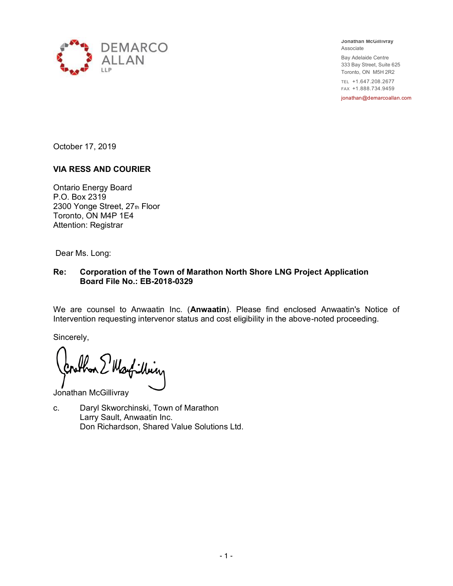

**Jonathan McGillivray** Associate

Bay Adelaide Centre 333 Bay Street, Suite 625 Toronto, ON M5H 2R2

TEL +1.647.208.2677 FAX +1.888.734.9459

jonathan@demarcoallan.com

October 17, 2019

#### **VIA RESS AND COURIER**

Ontario Energy Board P.O. Box 2319 2300 Yonge Street, 27th Floor Toronto, ON M4P 1E4 Attention: Registrar

Dear Ms. Long:

#### **Re: Corporation of the Town of Marathon North Shore LNG Project Application Board File No.: EB-2018-0329**

We are counsel to Anwaatin Inc. (**Anwaatin**). Please find enclosed Anwaatin's Notice of Intervention requesting intervenor status and cost eligibility in the above-noted proceeding.

Sincerely,

Martilbiry

Jonathan McGillivray

c. Daryl Skworchinski, Town of Marathon Larry Sault, Anwaatin Inc. Don Richardson, Shared Value Solutions Ltd.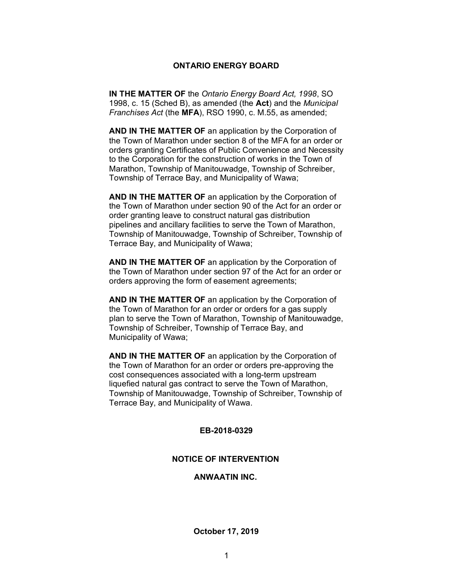#### **ONTARIO ENERGY BOARD**

**IN THE MATTER OF** the *Ontario Energy Board Act, 1998*, SO 1998, c. 15 (Sched B), as amended (the **Act**) and the *Municipal Franchises Act* (the **MFA**), RSO 1990, c. M.55, as amended;

**AND IN THE MATTER OF** an application by the Corporation of the Town of Marathon under section 8 of the MFA for an order or orders granting Certificates of Public Convenience and Necessity to the Corporation for the construction of works in the Town of Marathon, Township of Manitouwadge, Township of Schreiber, Township of Terrace Bay, and Municipality of Wawa;

**AND IN THE MATTER OF** an application by the Corporation of the Town of Marathon under section 90 of the Act for an order or order granting leave to construct natural gas distribution pipelines and ancillary facilities to serve the Town of Marathon, Township of Manitouwadge, Township of Schreiber, Township of Terrace Bay, and Municipality of Wawa;

**AND IN THE MATTER OF** an application by the Corporation of the Town of Marathon under section 97 of the Act for an order or orders approving the form of easement agreements;

**AND IN THE MATTER OF** an application by the Corporation of the Town of Marathon for an order or orders for a gas supply plan to serve the Town of Marathon, Township of Manitouwadge, Township of Schreiber, Township of Terrace Bay, and Municipality of Wawa;

**AND IN THE MATTER OF** an application by the Corporation of the Town of Marathon for an order or orders pre-approving the cost consequences associated with a long-term upstream liquefied natural gas contract to serve the Town of Marathon, Township of Manitouwadge, Township of Schreiber, Township of Terrace Bay, and Municipality of Wawa.

#### **EB-2018-0329**

#### **NOTICE OF INTERVENTION**

**ANWAATIN INC.**

**October 17, 2019**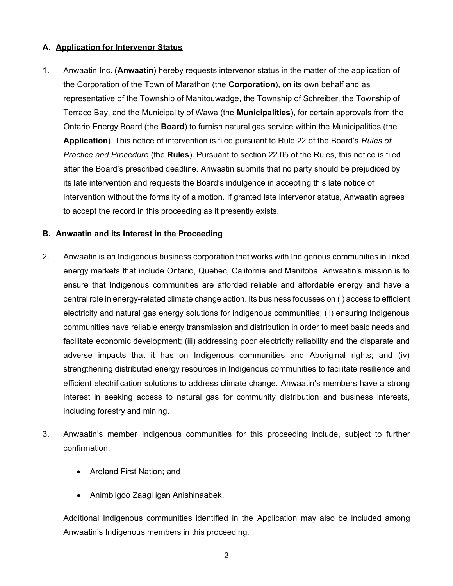#### **A. Application for Intervenor Status**

1. Anwaatin Inc. (**Anwaatin**) hereby requests intervenor status in the matter of the application of the Corporation of the Town of Marathon (the **Corporation**), on its own behalf and as representative of the Township of Manitouwadge, the Township of Schreiber, the Township of Terrace Bay, and the Municipality of Wawa (the **Municipalities**), for certain approvals from the Ontario Energy Board (the **Board**) to furnish natural gas service within the Municipalities (the **Application**). This notice of intervention is filed pursuant to Rule 22 of the Board's *Rules of Practice and Procedure* (the **Rules**). Pursuant to section 22.05 of the Rules, this notice is filed after the Board's prescribed deadline. Anwaatin submits that no party should be prejudiced by its late intervention and requests the Board's indulgence in accepting this late notice of intervention without the formality of a motion. If granted late intervenor status, Anwaatin agrees to accept the record in this proceeding as it presently exists.

#### **B. Anwaatin and its Interest in the Proceeding**

- 2. Anwaatin is an Indigenous business corporation that works with Indigenous communities in linked energy markets that include Ontario, Quebec, California and Manitoba. Anwaatin's mission is to ensure that Indigenous communities are afforded reliable and affordable energy and have a central role in energy-related climate change action. Its business focusses on (i) access to efficient electricity and natural gas energy solutions for indigenous communities; (ii) ensuring Indigenous communities have reliable energy transmission and distribution in order to meet basic needs and facilitate economic development; (iii) addressing poor electricity reliability and the disparate and adverse impacts that it has on Indigenous communities and Aboriginal rights; and (iv) strengthening distributed energy resources in Indigenous communities to facilitate resilience and efficient electrification solutions to address climate change. Anwaatin's members have a strong interest in seeking access to natural gas for community distribution and business interests, including forestry and mining.
- 3. Anwaatin's member Indigenous communities for this proceeding include, subject to further confirmation:
	- Aroland First Nation; and
	- Animbiigoo Zaagi igan Anishinaabek.

Additional Indigenous communities identified in the Application may also be included among Anwaatin's Indigenous members in this proceeding.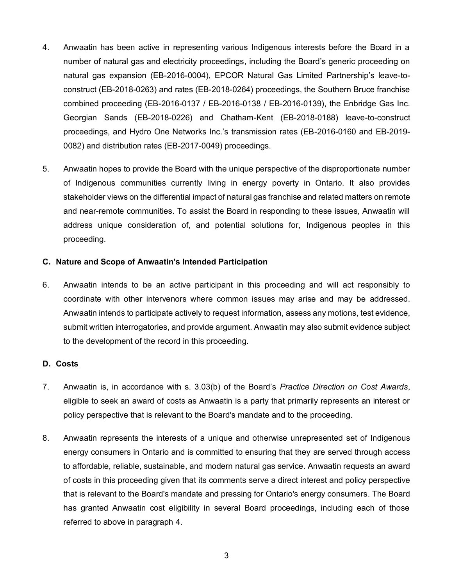- 4. Anwaatin has been active in representing various Indigenous interests before the Board in a number of natural gas and electricity proceedings, including the Board's generic proceeding on natural gas expansion (EB-2016-0004), EPCOR Natural Gas Limited Partnership's leave-toconstruct (EB-2018-0263) and rates (EB-2018-0264) proceedings, the Southern Bruce franchise combined proceeding (EB-2016-0137 / EB-2016-0138 / EB-2016-0139), the Enbridge Gas Inc. Georgian Sands (EB-2018-0226) and Chatham-Kent (EB-2018-0188) leave-to-construct proceedings, and Hydro One Networks Inc.'s transmission rates (EB-2016-0160 and EB-2019- 0082) and distribution rates (EB-2017-0049) proceedings.
- 5. Anwaatin hopes to provide the Board with the unique perspective of the disproportionate number of Indigenous communities currently living in energy poverty in Ontario. It also provides stakeholder views on the differential impact of natural gas franchise and related matters on remote and near-remote communities. To assist the Board in responding to these issues, Anwaatin will address unique consideration of, and potential solutions for, Indigenous peoples in this proceeding.

## **C. Nature and Scope of Anwaatin's Intended Participation**

6. Anwaatin intends to be an active participant in this proceeding and will act responsibly to coordinate with other intervenors where common issues may arise and may be addressed. Anwaatin intends to participate actively to request information, assess any motions, test evidence, submit written interrogatories, and provide argument. Anwaatin may also submit evidence subject to the development of the record in this proceeding.

#### **D. Costs**

- 7. Anwaatin is, in accordance with s. 3.03(b) of the Board's *Practice Direction on Cost Awards*, eligible to seek an award of costs as Anwaatin is a party that primarily represents an interest or policy perspective that is relevant to the Board's mandate and to the proceeding.
- 8. Anwaatin represents the interests of a unique and otherwise unrepresented set of Indigenous energy consumers in Ontario and is committed to ensuring that they are served through access to affordable, reliable, sustainable, and modern natural gas service. Anwaatin requests an award of costs in this proceeding given that its comments serve a direct interest and policy perspective that is relevant to the Board's mandate and pressing for Ontario's energy consumers. The Board has granted Anwaatin cost eligibility in several Board proceedings, including each of those referred to above in paragraph 4.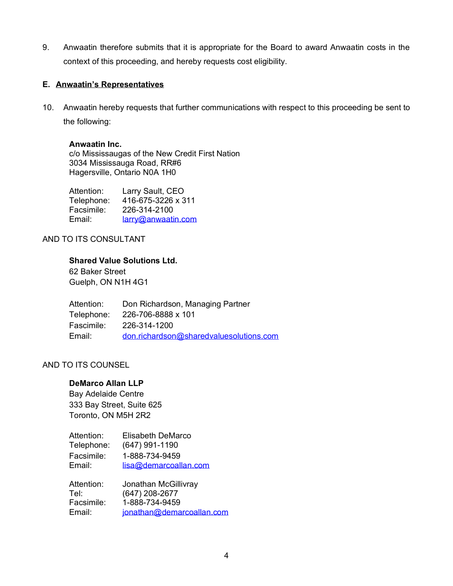9. Anwaatin therefore submits that it is appropriate for the Board to award Anwaatin costs in the context of this proceeding, and hereby requests cost eligibility.

## **E. Anwaatin's Representatives**

10. Anwaatin hereby requests that further communications with respect to this proceeding be sent to the following:

#### **Anwaatin Inc.**

c/o Mississaugas of the New Credit First Nation 3034 Mississauga Road, RR#6 Hagersville, Ontario N0A 1H0

| Attention: | Larry Sault, CEO   |
|------------|--------------------|
| Telephone: | 416-675-3226 x 311 |
| Facsimile: | 226-314-2100       |
| Email:     | larry@anwaatin.com |

## AND TO ITS CONSULTANT

## **Shared Value Solutions Ltd.**

62 Baker Street Guelph, ON N1H 4G1

| Attention: | Don Richardson, Managing Partner        |
|------------|-----------------------------------------|
| Telephone: | 226-706-8888 x 101                      |
| Fascimile: | 226-314-1200                            |
| Email:     | don.richardson@sharedvaluesolutions.com |

# AND TO ITS COUNSEL

## **DeMarco Allan LLP**

Bay Adelaide Centre 333 Bay Street, Suite 625 Toronto, ON M5H 2R2

| Attention: | Elisabeth DeMarco     |
|------------|-----------------------|
| Telephone: | $(647)$ 991-1190      |
| Facsimile: | 1-888-734-9459        |
| Email:     | lisa@demarcoallan.com |

| Attention: | Jonathan McGillivray      |
|------------|---------------------------|
| Tel:       | $(647)$ 208-2677          |
| Facsimile: | 1-888-734-9459            |
| Email:     | jonathan@demarcoallan.com |